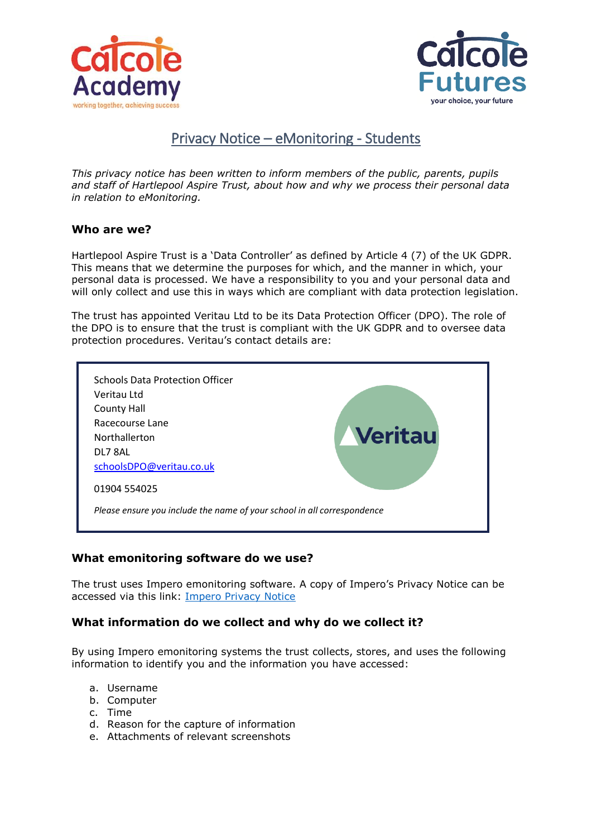



# Privacy Notice – eMonitoring - Students

*This privacy notice has been written to inform members of the public, parents, pupils and staff of Hartlepool Aspire Trust, about how and why we process their personal data in relation to eMonitoring.*

### **Who are we?**

Hartlepool Aspire Trust is a 'Data Controller' as defined by Article 4 (7) of the UK GDPR. This means that we determine the purposes for which, and the manner in which, your personal data is processed. We have a responsibility to you and your personal data and will only collect and use this in ways which are compliant with data protection legislation.

The trust has appointed Veritau Ltd to be its Data Protection Officer (DPO). The role of the DPO is to ensure that the trust is compliant with the UK GDPR and to oversee data protection procedures. Veritau's contact details are:



## **What emonitoring software do we use?**

The trust uses Impero emonitoring software. A copy of Impero's Privacy Notice can be accessed via this link: [Impero Privacy Notice](https://www.imperosoftware.com/wp-content/uploads/2021/10/Impero-Product-Privacy-Notice.pdf)

## **What information do we collect and why do we collect it?**

By using Impero emonitoring systems the trust collects, stores, and uses the following information to identify you and the information you have accessed:

- a. Username
- b. Computer
- c. Time
- d. Reason for the capture of information
- e. Attachments of relevant screenshots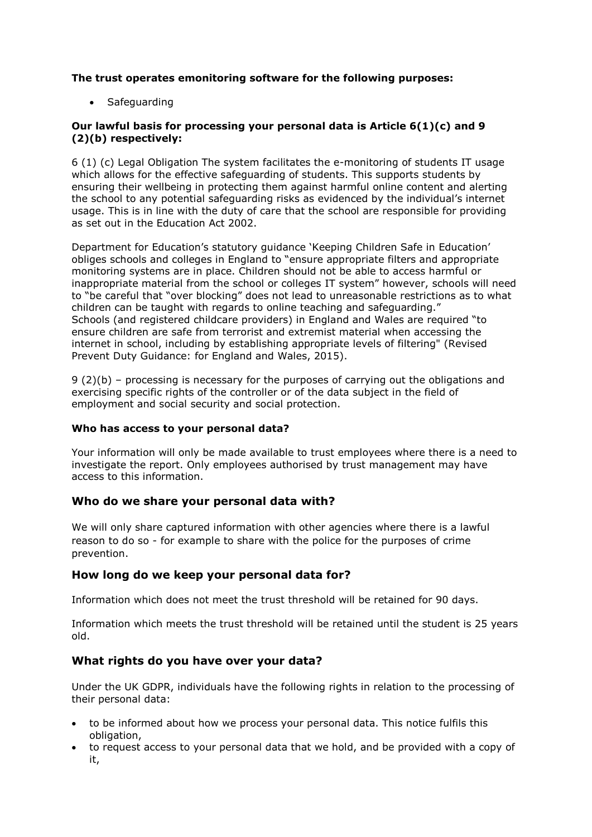**The trust operates emonitoring software for the following purposes:**

• Safeguarding

### **Our lawful basis for processing your personal data is Article 6(1)(c) and 9 (2)(b) respectively:**

6 (1) (c) Legal Obligation The system facilitates the e-monitoring of students IT usage which allows for the effective safeguarding of students. This supports students by ensuring their wellbeing in protecting them against harmful online content and alerting the school to any potential safeguarding risks as evidenced by the individual's internet usage. This is in line with the duty of care that the school are responsible for providing as set out in the Education Act 2002.

Department for Education's statutory guidance 'Keeping Children Safe in Education' obliges schools and colleges in England to "ensure appropriate filters and appropriate monitoring systems are in place. Children should not be able to access harmful or inappropriate material from the school or colleges IT system" however, schools will need to "be careful that "over blocking" does not lead to unreasonable restrictions as to what children can be taught with regards to online teaching and safeguarding." Schools (and registered childcare providers) in England and Wales are required "to ensure children are safe from terrorist and extremist material when accessing the internet in school, including by establishing appropriate levels of filtering" (Revised Prevent Duty Guidance: for England and Wales, 2015).

9 (2)(b) – processing is necessary for the purposes of carrying out the obligations and exercising specific rights of the controller or of the data subject in the field of employment and social security and social protection.

#### **Who has access to your personal data?**

Your information will only be made available to trust employees where there is a need to investigate the report. Only employees authorised by trust management may have access to this information.

## **Who do we share your personal data with?**

We will only share captured information with other agencies where there is a lawful reason to do so - for example to share with the police for the purposes of crime prevention.

## **How long do we keep your personal data for?**

Information which does not meet the trust threshold will be retained for 90 days.

Information which meets the trust threshold will be retained until the student is 25 years old.

## **What rights do you have over your data?**

Under the UK GDPR, individuals have the following rights in relation to the processing of their personal data:

- to be informed about how we process your personal data. This notice fulfils this obligation,
- to request access to your personal data that we hold, and be provided with a copy of it,